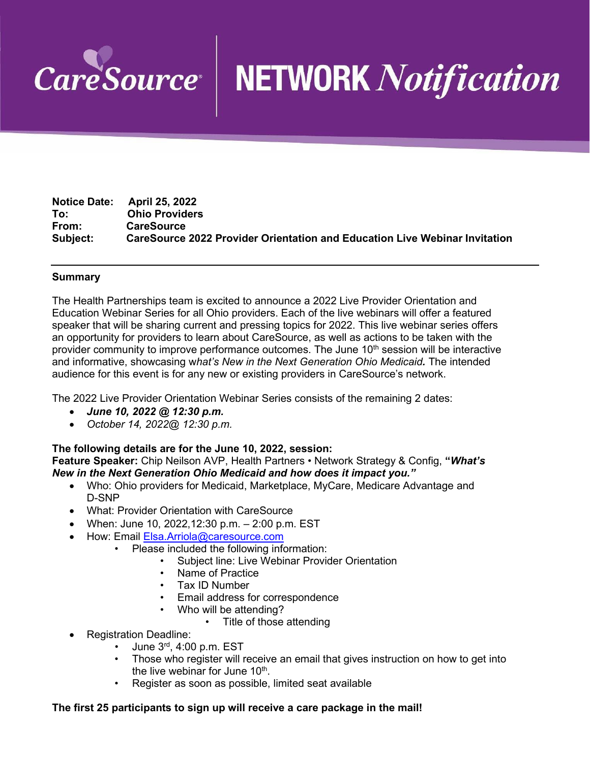

# NETWORK Notification

**Notice Date: April 25, 2022 To: Ohio Providers From: CareSource CareSource 2022 Provider Orientation and Education Live Webinar Invitation** 

### **Summary**

The Health Partnerships team is excited to announce a 2022 Live Provider Orientation and Education Webinar Series for all Ohio providers. Each of the live webinars will offer a featured speaker that will be sharing current and pressing topics for 2022. This live webinar series offers an opportunity for providers to learn about CareSource, as well as actions to be taken with the provider community to improve performance outcomes. The June 10<sup>th</sup> session will be interactive and informative, showcasing w*hat's New in the Next Generation Ohio Medicaid.* The intended audience for this event is for any new or existing providers in CareSource's network.

The 2022 Live Provider Orientation Webinar Series consists of the remaining 2 dates:

- *June 10, 2022 @ 12:30 p.m.*
- *October 14, 2022@ 12:30 p.m.*

### **The following details are for the June 10, 2022, session:**

**Feature Speaker:** Chip Neilson AVP, Health Partners • Network Strategy & Config, **"***What's New in the Next Generation Ohio Medicaid and how does it impact you."*

- Who: Ohio providers for Medicaid, Marketplace, MyCare, Medicare Advantage and D-SNP
- What: Provider Orientation with CareSource
- When: June 10, 2022,12:30 p.m. 2:00 p.m. EST
- How: Email [Elsa.Arriola@caresource.com](mailto:Elsa.Arriola@caresource.com)
	- Please included the following information:
		- Subject line: Live Webinar Provider Orientation
		- Name of Practice
		- Tax ID Number
		- Email address for correspondence
		- Who will be attending?
			- Title of those attending
- Registration Deadline:
	- June 3rd, 4:00 p.m. EST
	- Those who register will receive an email that gives instruction on how to get into the live webinar for June  $10<sup>th</sup>$ .
	- Register as soon as possible, limited seat available

### **The first 25 participants to sign up will receive a care package in the mail!**